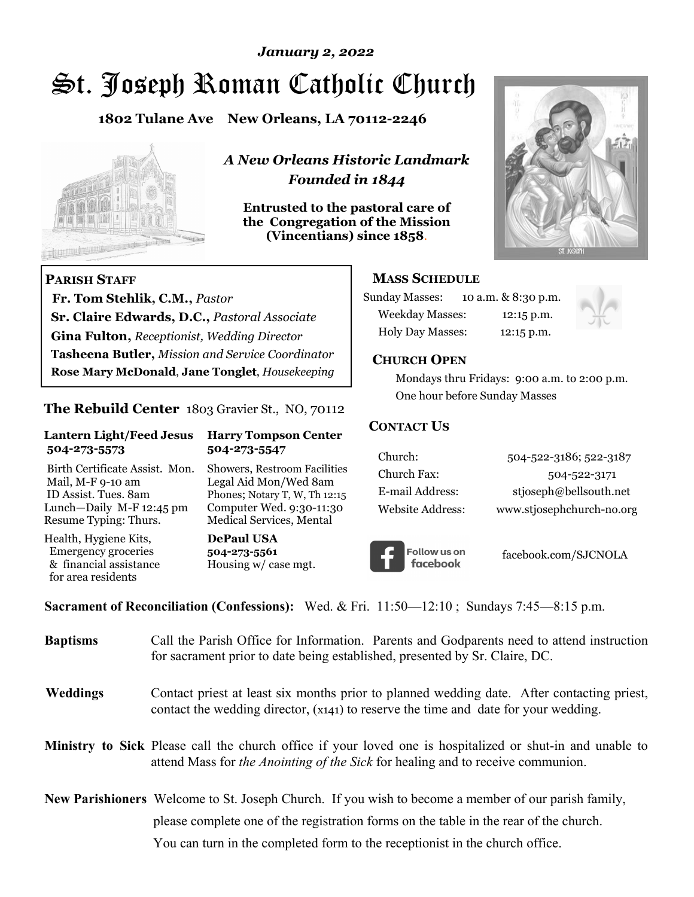# St. Joseph Roman Catholic Church *January 2, 2022*

**1802 Tulane Ave New Orleans, LA 70112-2246**



 **Fr. Tom Stehlik, C.M.,** *Pastor* 

**Sr. Claire Edwards, D.C.,** *Pastoral Associate* **Gina Fulton,** *Receptionist, Wedding Director* 

**Tasheena Butler,** *Mission and Service Coordinator* **Rose Mary McDonald**, **Jane Tonglet**, *Housekeeping*

**The Rebuild Center** 1803 Gravier St., NO, 70112

**Lantern Light/Feed Jesus Harry Tompson Center** 

Birth Certificate Assist. Mon. Showers, Restroom Facilities Mail, M-F 9-10 am Legal Aid Mon/Wed 8am ID Assist. Tues. 8am Phones; Notary T, W, Th 12:15 Lunch—Daily M-F 12:45 pm Computer Wed. 9:30-11:30 Resume Typing: Thurs. Medical Services, Mental

 **504-273-5573 504-273-5547** 

Health, Hygiene Kits, **DePaul USA**  Emergency groceries **504-273-5561** & financial assistance Housing w/ case mgt.

**PARISH STAFF**

for area residents

*A New Orleans Historic Landmark Founded in 1844* 

**Entrusted to the pastoral care of the Congregation of the Mission (Vincentians) since 1858**.



#### **MASS SCHEDULE**

| <b>Sunday Masses:</b>  | 10 a.m. & 8:30 p.m. |
|------------------------|---------------------|
| <b>Weekday Masses:</b> | $12:15$ p.m.        |
| Holy Day Masses:       | 12:15 p.m.          |



#### **CHURCH OPEN**

 Mondays thru Fridays: 9:00 a.m. to 2:00 p.m. One hour before Sunday Masses

#### **CONTACT US**

| Church:          | 504-522-3186; 522-3187    |
|------------------|---------------------------|
| Church Fax:      | 504-522-3171              |
| E-mail Address:  | stjoseph@bellsouth.net    |
| Website Address: | www.stjosephchurch-no.org |



facebook.com/SJCNOLA

**Sacrament of Reconciliation (Confessions):** Wed. & Fri. 11:50—12:10 ; Sundays 7:45—8:15 p.m.

| <b>Baptisms</b> | Call the Parish Office for Information. Parents and Godparents need to attend instruction<br>for sacrament prior to date being established, presented by Sr. Claire, DC.                                   |
|-----------------|------------------------------------------------------------------------------------------------------------------------------------------------------------------------------------------------------------|
| <b>Weddings</b> | Contact priest at least six months prior to planned wedding date. After contacting priest,<br>contact the wedding director, (x141) to reserve the time and date for your wedding.                          |
|                 | <b>Ministry to Sick</b> Please call the church office if your loved one is hospitalized or shut-in and unable to<br>attend Mass for <i>the Anointing of the Sick</i> for healing and to receive communion. |
|                 | <b>New Parishioners</b> Welcome to St. Joseph Church. If you wish to become a member of our parish family,                                                                                                 |
|                 | please complete one of the registration forms on the table in the rear of the church.                                                                                                                      |
|                 | You can turn in the completed form to the reception ist in the church office.                                                                                                                              |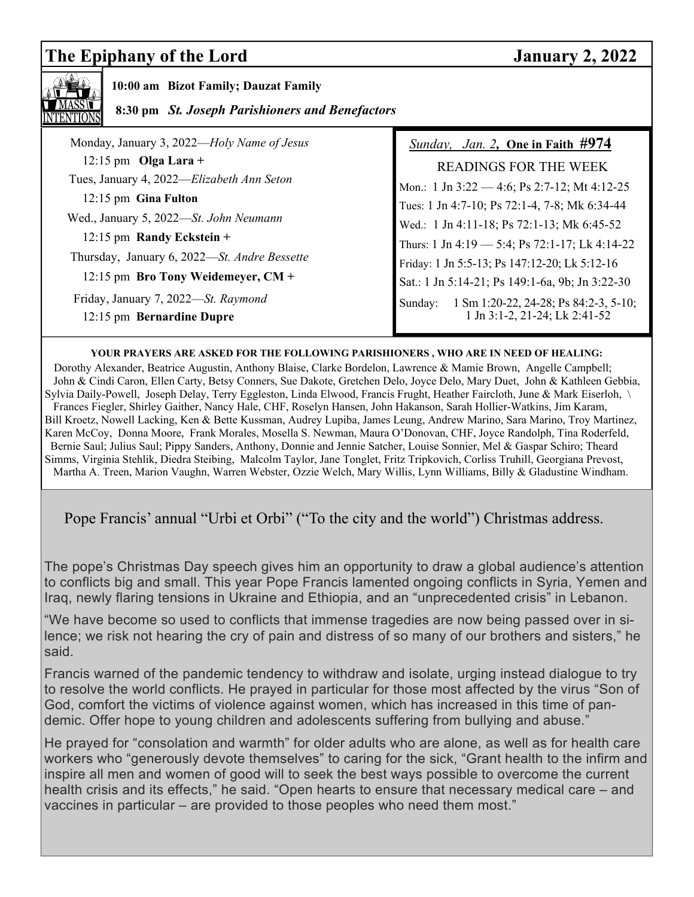# **The Epiphany of the Lord January 2, 2022**



 **10:00 am Bizot Family; Dauzat Family** 

 **8:30 pm** *St. Joseph Parishioners and Benefactors*

| Monday, January 3, 2022—Holy Name of Jesus   | <i>Sunday, Jan. 2, One in Faith <math>#974</math></i> |
|----------------------------------------------|-------------------------------------------------------|
| $12:15$ pm Olga Lara +                       | <b>READINGS FOR THE WEEK</b>                          |
| Tues, January 4, 2022—Elizabeth Ann Seton    | Mon.: 1 Jn 3:22 - 4:6; Ps 2:7-12; Mt 4:12-25          |
| 12:15 pm Gina Fulton                         | Tues: 1 Jn 4:7-10; Ps 72:1-4, 7-8; Mk 6:34-44         |
| Wed., January 5, 2022-St. John Neumann       | Wed.: 1 Jn 4:11-18; Ps 72:1-13; Mk 6:45-52            |
| 12:15 pm Randy Eckstein +                    | Thurs: 1 Jn 4:19 - 5:4; Ps 72:1-17; Lk 4:14-22        |
| Thursday, January 6, 2022-St. Andre Bessette | Friday: 1 Jn 5:5-13; Ps 147:12-20; Lk 5:12-16         |
| 12:15 pm Bro Tony Weidemeyer, CM +           | Sat.: 1 Jn 5:14-21; Ps 149:1-6a, 9b; Jn 3:22-30       |
| Friday, January 7, 2022-St. Raymond          | 1 Sm 1:20-22, 24-28; Ps 84:2-3, 5-10;<br>Sunday:      |
| 12:15 pm Bernardine Dupre                    | 1 Jn 3:1-2, 21-24; Lk 2:41-52                         |

#### **YOUR PRAYERS ARE ASKED FOR THE FOLLOWING PARISHIONERS , WHO ARE IN NEED OF HEALING:**

 Dorothy Alexander, Beatrice Augustin, Anthony Blaise, Clarke Bordelon, Lawrence & Mamie Brown, Angelle Campbell; John & Cindi Caron, Ellen Carty, Betsy Conners, Sue Dakote, Gretchen Delo, Joyce Delo, Mary Duet, John & Kathleen Gebbia, Sylvia Daily-Powell, Joseph Delay, Terry Eggleston, Linda Elwood, Francis Frught, Heather Faircloth, June & Mark Eiserloh, \ Frances Fiegler, Shirley Gaither, Nancy Hale, CHF, Roselyn Hansen, John Hakanson, Sarah Hollier-Watkins, Jim Karam, Bill Kroetz, Nowell Lacking, Ken & Bette Kussman, Audrey Lupiba, James Leung, Andrew Marino, Sara Marino, Troy Martinez, Karen McCoy, Donna Moore, Frank Morales, Mosella S. Newman, Maura O'Donovan, CHF, Joyce Randolph, Tina Roderfeld, Bernie Saul; Julius Saul; Pippy Sanders, Anthony, Donnie and Jennie Satcher, Louise Sonnier, Mel & Gaspar Schiro; Theard Simms, Virginia Stehlik, Diedra Steibing, Malcolm Taylor, Jane Tonglet, Fritz Tripkovich, Corliss Truhill, Georgiana Prevost, Martha A. Treen, Marion Vaughn, Warren Webster, Ozzie Welch, Mary Willis, Lynn Williams, Billy & Gladustine Windham.

Pope Francis' annual "Urbi et Orbi" ("To the city and the world") Christmas address.

The pope's Christmas Day speech gives him an opportunity to draw a global audience's attention to conflicts big and small. This year Pope Francis lamented ongoing conflicts in Syria, Yemen and Iraq, newly flaring tensions in Ukraine and Ethiopia, and an "unprecedented crisis" in Lebanon.

"We have become so used to conflicts that immense tragedies are now being passed over in silence; we risk not hearing the cry of pain and distress of so many of our brothers and sisters," he said.

Francis warned of the pandemic tendency to withdraw and isolate, urging instead dialogue to try to resolve the world conflicts. He prayed in particular for those most affected by the virus "Son of God, comfort the victims of violence against women, which has increased in this time of pandemic. Offer hope to young children and adolescents suffering from bullying and abuse."

He prayed for "consolation and warmth" for older adults who are alone, as well as for health care workers who "generously devote themselves" to caring for the sick, "Grant health to the infirm and inspire all men and women of good will to seek the best ways possible to overcome the current health crisis and its effects," he said. "Open hearts to ensure that necessary medical care – and vaccines in particular – are provided to those peoples who need them most."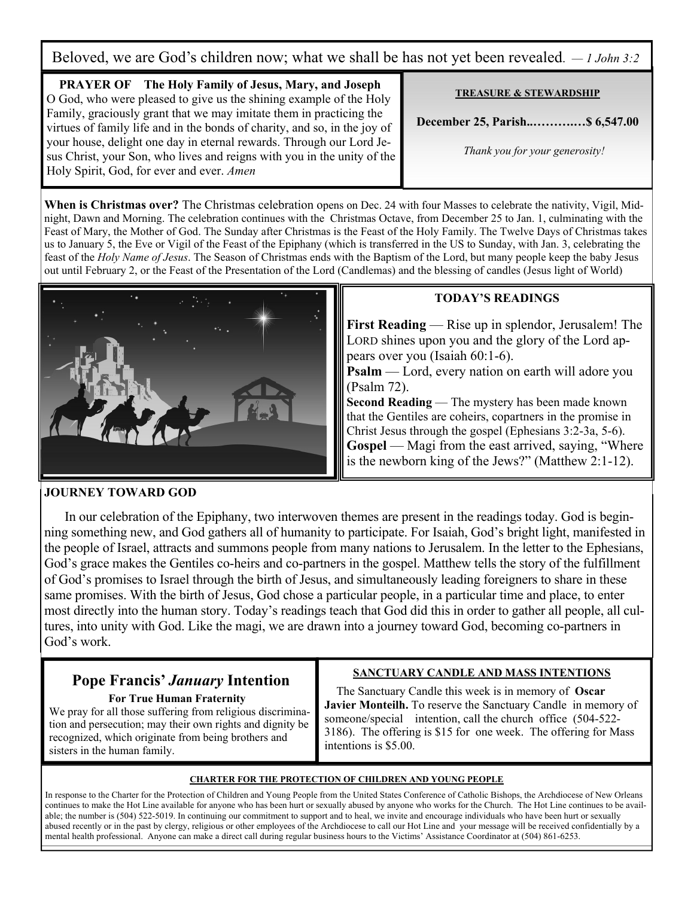Beloved, we are God's children now; what we shall be has not yet been revealed. *— 1 John 3:2*

**PRAYER OF The Holy Family of Jesus, Mary, and Joseph**  O God, who were pleased to give us the shining example of the Holy Family, graciously grant that we may imitate them in practicing the virtues of family life and in the bonds of charity, and so, in the joy of your house, delight one day in eternal rewards. Through our Lord Jesus Christ, your Son, who lives and reigns with you in the unity of the Holy Spirit, God, for ever and ever. *Amen* 

**TREASURE & STEWARDSHIP**

**December 25, Parish..……….…\$ 6,547.00** 

 *Thank you for your generosity!* 

**When is Christmas over?** The Christmas celebration opens on Dec. 24 with four Masses to celebrate the nativity, Vigil, Midnight, Dawn and Morning. The celebration continues with the Christmas Octave, from December 25 to Jan. 1, culminating with the Feast of Mary, the Mother of God. The Sunday after Christmas is the Feast of the Holy Family. The Twelve Days of Christmas takes us to January 5, the Eve or Vigil of the Feast of the Epiphany (which is transferred in the US to Sunday, with Jan. 3, celebrating the feast of the *Holy Name of Jesus*. The Season of Christmas ends with the Baptism of the Lord, but many people keep the baby Jesus out until February 2, or the Feast of the Presentation of the Lord (Candlemas) and the blessing of candles (Jesus light of World)



### **TODAY'S READINGS**

**First Reading** — Rise up in splendor, Jerusalem! The LORD shines upon you and the glory of the Lord appears over you (Isaiah 60:1-6).

**Psalm** — Lord, every nation on earth will adore you (Psalm 72).

**Second Reading** — The mystery has been made known that the Gentiles are coheirs, copartners in the promise in Christ Jesus through the gospel (Ephesians 3:2-3a, 5-6). Gospel — Magi from the east arrived, saying, "Where is the newborn king of the Jews?" (Matthew 2:1-12).

#### **JOURNEY TOWARD GOD**

 In our celebration of the Epiphany, two interwoven themes are present in the readings today. God is beginning something new, and God gathers all of humanity to participate. For Isaiah, God's bright light, manifested in the people of Israel, attracts and summons people from many nations to Jerusalem. In the letter to the Ephesians, God's grace makes the Gentiles co-heirs and co-partners in the gospel. Matthew tells the story of the fulfillment of God's promises to Israel through the birth of Jesus, and simultaneously leading foreigners to share in these same promises. With the birth of Jesus, God chose a particular people, in a particular time and place, to enter most directly into the human story. Today's readings teach that God did this in order to gather all people, all cultures, into unity with God. Like the magi, we are drawn into a journey toward God, becoming co-partners in God's work.

# **Pope Francis'** *January* **Intention**

#### **For True Human Fraternity**

We pray for all those suffering from religious discrimination and persecution; may their own rights and dignity be recognized, which originate from being brothers and sisters in the human family.

### **SANCTUARY CANDLE AND MASS INTENTIONS**

 The Sanctuary Candle this week is in memory of **Oscar Javier Monteilh.** To reserve the Sanctuary Candle in memory of someone/special intention, call the church office (504-522- 3186). The offering is \$15 for one week. The offering for Mass intentions is \$5.00.

#### **CHARTER FOR THE PROTECTION OF CHILDREN AND YOUNG PEOPLE**

In response to the Charter for the Protection of Children and Young People from the United States Conference of Catholic Bishops, the Archdiocese of New Orleans continues to make the Hot Line available for anyone who has been hurt or sexually abused by anyone who works for the Church. The Hot Line continues to be available; the number is (504) 522-5019. In continuing our commitment to support and to heal, we invite and encourage individuals who have been hurt or sexually abused recently or in the past by clergy, religious or other employees of the Archdiocese to call our Hot Line and your message will be received confidentially by a mental health professional. Anyone can make a direct call during regular business hours to the Victims' Assistance Coordinator at (504) 861-6253.